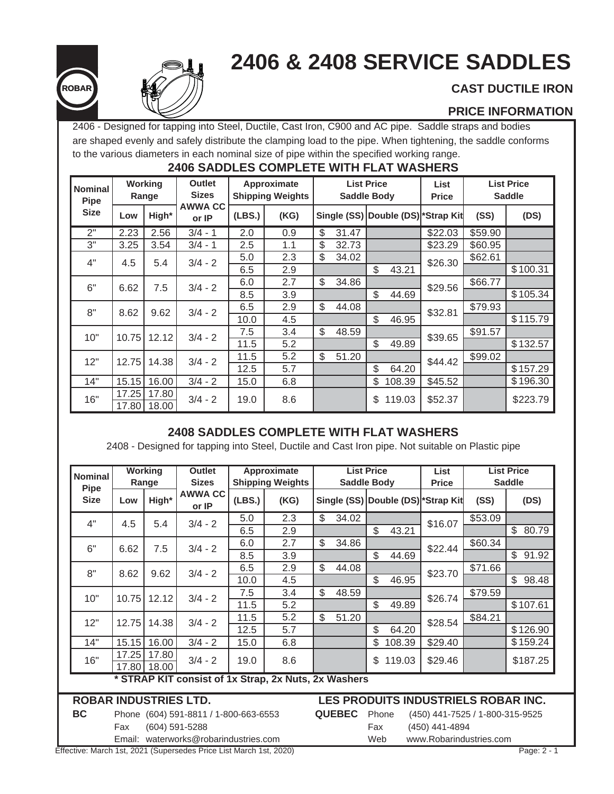# **2406 & 2408 SERVICE SADDLES**





# **CAST DUCTILE IRON**

### **PRICE INFORMATION**

2406 - Designed for tapping into Steel, Ductile, Cast Iron, C900 and AC pipe. Saddle straps and bodies are shaped evenly and safely distribute the clamping load to the pipe. When tightening, the saddle conforms to the various diameters in each nominal size of pipe within the specified working range.

## **2406 SADDLES COMPLETE WITH FLAT WASHERS**

| <b>Nominal</b><br><b>Pipe</b> |       | Working<br>Range | <b>Outlet</b><br><b>Sizes</b> | Approximate<br><b>Shipping Weights</b><br><b>AWWA CC</b> |      | <b>List Price</b><br><b>Saddle Body</b> |               |        | <b>List</b><br><b>Price</b>        |         | <b>List Price</b><br><b>Saddle</b> |  |
|-------------------------------|-------|------------------|-------------------------------|----------------------------------------------------------|------|-----------------------------------------|---------------|--------|------------------------------------|---------|------------------------------------|--|
| <b>Size</b>                   | Low   | High*            | or IP                         | (LES.)                                                   | (KG) |                                         |               |        | Single (SS) Double (DS) *Strap Kit | (SS)    | (DS)                               |  |
| 2"                            | 2.23  | 2.56             | $3/4 - 1$                     | 2.0                                                      | 0.9  | \$<br>31.47                             |               |        | \$22.03                            | \$59.90 |                                    |  |
| 3"                            | 3.25  | 3.54             | $3/4 - 1$                     | 2.5                                                      | 1.1  | \$<br>32.73                             |               |        | \$23.29                            | \$60.95 |                                    |  |
| 4"                            | 4.5   | 5.4              | $3/4 - 2$                     | 5.0                                                      | 2.3  | \$<br>34.02                             |               |        | \$26.30                            | \$62.61 |                                    |  |
|                               |       |                  |                               | 6.5                                                      | 2.9  |                                         | \$            | 43.21  |                                    |         | \$100.31                           |  |
| 6"                            | 6.62  | 7.5              | $3/4 - 2$                     | 6.0                                                      | 2.7  | \$<br>34.86                             |               |        | \$29.56                            | \$66.77 |                                    |  |
|                               |       |                  |                               | 8.5                                                      | 3.9  |                                         | \$            | 44.69  |                                    |         | \$105.34                           |  |
| 8"                            | 8.62  | 9.62             | $3/4 - 2$                     | 6.5                                                      | 2.9  | \$<br>44.08                             |               |        | \$32.81                            | \$79.93 |                                    |  |
|                               |       |                  |                               | 10.0                                                     | 4.5  |                                         | $\mathcal{L}$ | 46.95  |                                    |         | \$115.79                           |  |
| 10"                           | 10.75 | 12.12            | $3/4 - 2$                     | 7.5                                                      | 3.4  | \$<br>48.59                             |               |        | \$39.65                            | \$91.57 |                                    |  |
|                               |       |                  |                               | 11.5                                                     | 5.2  |                                         | $\mathbb{S}$  | 49.89  |                                    |         | \$132.57                           |  |
| 12"                           | 12.75 | 14.38            | $3/4 - 2$                     | 11.5                                                     | 5.2  | \$<br>51.20                             |               |        | \$44.42                            | \$99.02 |                                    |  |
|                               |       |                  |                               | 12.5                                                     | 5.7  |                                         | \$            | 64.20  |                                    |         | \$157.29                           |  |
| 14"                           | 15.15 | 16.00            | $3/4 - 2$                     | 15.0                                                     | 6.8  |                                         | \$            | 108.39 | \$45.52                            |         | \$196.30                           |  |
| 16"                           | 17.25 | 17.80            | $3/4 - 2$                     | 19.0                                                     | 8.6  |                                         | \$            | 119.03 | \$52.37                            |         | \$223.79                           |  |
|                               | 17.80 | 18.00            |                               |                                                          |      |                                         |               |        |                                    |         |                                    |  |

## **2408 SADDLES COMPLETE WITH FLAT WASHERS**

2408 - Designed for tapping into Steel, Ductile and Cast Iron pipe. Not suitable on Plastic pipe

| <b>Nominal</b><br><b>Pipe</b>                        |                                       | <b>Working</b><br>Range | <b>Outlet</b><br><b>Sizes</b> |        | Approximate<br><b>Shipping Weights</b> |       | <b>List Price</b><br><b>Saddle Body</b>                   |    |        | List<br><b>Price</b>                | <b>List Price</b><br><b>Saddle</b> |                         |  |
|------------------------------------------------------|---------------------------------------|-------------------------|-------------------------------|--------|----------------------------------------|-------|-----------------------------------------------------------|----|--------|-------------------------------------|------------------------------------|-------------------------|--|
| <b>Size</b>                                          | Low                                   | High*                   | <b>AWWA CC</b><br>or IP       | (LES.) | (KG)                                   |       |                                                           |    |        | Single (SS) Double (DS) *Strap Kit  | (SS)                               | (DS)                    |  |
| 4"                                                   | 4.5                                   | 5.4                     | $3/4 - 2$                     | 5.0    | 2.3                                    | \$    | 34.02                                                     |    |        | \$16.07                             | \$53.09                            |                         |  |
|                                                      |                                       |                         |                               | 6.5    | 2.9                                    |       |                                                           | \$ | 43.21  |                                     |                                    | \$80.79                 |  |
| 6"                                                   | 6.62                                  | 7.5                     | $3/4 - 2$                     | 6.0    | 2.7                                    | \$    | 34.86                                                     |    |        | \$22.44                             | \$60.34                            |                         |  |
|                                                      |                                       |                         |                               | 8.5    | 3.9                                    |       |                                                           | \$ | 44.69  |                                     |                                    | $\mathfrak{S}$<br>91.92 |  |
| 8"                                                   | 8.62                                  | 9.62                    | $3/4 - 2$                     | 6.5    | 2.9                                    | $\$\$ | 44.08                                                     |    |        | \$23.70                             | \$71.66                            |                         |  |
|                                                      |                                       |                         |                               | 10.0   | 4.5                                    |       |                                                           | \$ | 46.95  |                                     |                                    | \$<br>98.48             |  |
| 10"                                                  | 10.75                                 | 12.12                   | $3/4 - 2$                     | 7.5    | 3.4                                    | \$    | 48.59                                                     |    |        | \$26.74                             | \$79.59                            |                         |  |
|                                                      |                                       |                         |                               | 11.5   | 5.2                                    |       |                                                           | \$ | 49.89  |                                     |                                    | \$107.61                |  |
| 12"                                                  | 12.75                                 | 14.38                   | $3/4 - 2$                     | 11.5   | 5.2                                    | \$    | 51.20                                                     |    |        | \$28.54                             | \$84.21                            |                         |  |
|                                                      |                                       |                         |                               | 12.5   | 5.7                                    |       |                                                           | \$ | 64.20  |                                     |                                    | \$126.90                |  |
| 14"                                                  | 15.15                                 | 16.00                   | $3/4 - 2$                     | 15.0   | 6.8                                    |       |                                                           | \$ | 108.39 | \$29.40                             |                                    | \$159.24                |  |
| 16"                                                  | 17.25                                 | 17.80                   | $3/4 - 2$                     | 19.0   | 8.6                                    |       |                                                           | \$ | 119.03 | \$29.46                             |                                    | \$187.25                |  |
|                                                      | 17.80                                 | 18.00                   |                               |        |                                        |       |                                                           |    |        |                                     |                                    |                         |  |
| * STRAP KIT consist of 1x Strap, 2x Nuts, 2x Washers |                                       |                         |                               |        |                                        |       |                                                           |    |        |                                     |                                    |                         |  |
| <b>ROBAR INDUSTRIES LTD.</b>                         |                                       |                         |                               |        |                                        |       |                                                           |    |        | LES PRODUITS INDUSTRIELS ROBAR INC. |                                    |                         |  |
| <b>BC</b>                                            | Phone (604) 591-8811 / 1-800-663-6553 |                         |                               |        |                                        |       | <b>QUEBEC</b><br>Phone<br>(450) 441-7525 / 1-800-315-9525 |    |        |                                     |                                    |                         |  |

Email: waterworks@robarindustries.com Web www.Robarindustries.com

Fax (604) 591-5288 Fax (450) 441-4894

Effective: March 1st, 2021 (Supersedes Price List March 1st, 2020) Page: 2 - 1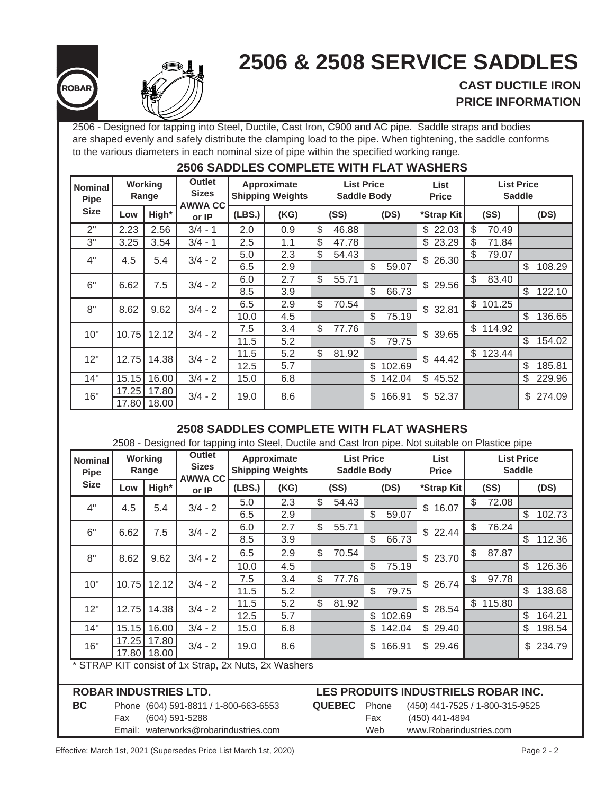# **2506 & 2508 SERVICE SADDLES**





# **CAST DUCTILE IRON PRICE INFORMATION**

2506 - Designed for tapping into Steel, Ductile, Cast Iron, C900 and AC pipe. Saddle straps and bodies are shaped evenly and safely distribute the clamping load to the pipe. When tightening, the saddle conforms to the various diameters in each nominal size of pipe within the specified working range.

|                               | ----<br>,,,,,,,,,,,, |                  |                                   |        |                                        |                                         |       |            |                      |             |                                    |          |               |        |
|-------------------------------|----------------------|------------------|-----------------------------------|--------|----------------------------------------|-----------------------------------------|-------|------------|----------------------|-------------|------------------------------------|----------|---------------|--------|
| <b>Nominal</b><br><b>Pipe</b> |                      | Working<br>Range | Outlet<br><b>Sizes</b><br>AWWA CC |        | Approximate<br><b>Shipping Weights</b> | <b>List Price</b><br><b>Saddle Body</b> |       |            | List<br><b>Price</b> |             | <b>List Price</b><br><b>Saddle</b> |          |               |        |
| <b>Size</b>                   | Low                  | High*            | or IP                             | (LES.) | (KG)                                   | (SS)<br>(DS)                            |       | *Strap Kit |                      | (SS)        |                                    | (DS)     |               |        |
| 2"                            | 2.23                 | 2.56             | $3/4 - 1$                         | 2.0    | 0.9                                    | \$                                      | 46.88 |            |                      | \$22.03     | \$                                 | 70.49    |               |        |
| 3"                            | 3.25                 | 3.54             | $3/4 - 1$                         | 2.5    | 1.1                                    | \$                                      | 47.78 |            |                      | \$23.29     | \$                                 | 71.84    |               |        |
| 4"                            | 4.5                  | 5.4              | $3/4 - 2$                         | 5.0    | 2.3                                    | \$                                      | 54.43 |            |                      | \$26.30     | \$                                 | 79.07    |               |        |
|                               |                      |                  |                                   | 6.5    | 2.9                                    |                                         |       | \$         | 59.07                |             |                                    |          | \$            | 108.29 |
| 6"                            | 6.62                 | 7.5              | $3/4 - 2$                         | 6.0    | 2.7                                    | \$                                      | 55.71 |            |                      | \$29.56     | \$                                 | 83.40    |               |        |
|                               |                      |                  |                                   | 8.5    | 3.9                                    |                                         |       | \$         | 66.73                |             |                                    |          | \$            | 122.10 |
| 8"                            | 8.62                 | 9.62             | $3/4 - 2$                         | 6.5    | 2.9                                    | \$                                      | 70.54 |            |                      | \$32.81     | \$                                 | 101.25   |               |        |
|                               |                      |                  |                                   | 10.0   | 4.5                                    |                                         |       | \$         | 75.19                |             |                                    |          | $\mathcal{S}$ | 136.65 |
| 10"                           | 10.75                | 12.12            | $3/4 - 2$                         | 7.5    | 3.4                                    | \$                                      | 77.76 |            |                      | \$39.65     |                                    | \$114.92 |               |        |
|                               |                      |                  |                                   | 11.5   | 5.2                                    |                                         |       | \$         | 79.75                |             |                                    |          | \$            | 154.02 |
| 12"                           | 12.75                | 14.38            | $3/4 - 2$                         | 11.5   | 5.2                                    | \$                                      | 81.92 |            |                      | 44.42<br>\$ |                                    | \$123.44 |               |        |
|                               |                      |                  |                                   | 12.5   | 5.7                                    |                                         |       | \$         | 102.69               |             |                                    |          | $\mathcal{S}$ | 185.81 |
| 14"                           | 15.15                | 16.00            | $3/4 - 2$                         | 15.0   | 6.8                                    |                                         |       | \$         | 142.04               | \$45.52     |                                    |          | \$            | 229.96 |
| 16"                           | 17.25                | 17.80            | $3/4 - 2$                         | 19.0   | 8.6                                    |                                         |       |            |                      | \$52.37     |                                    |          | \$            | 274.09 |
|                               |                      | 17.80 18.00      |                                   |        |                                        | \$<br>166.91                            |       |            |                      |             |                                    |          |               |        |

# **2506 SADDLES COMPLETE WITH FLAT WASHERS**

## **2508 SADDLES COMPLETE WITH FLAT WASHERS**

2508 - Designed for tapping into Steel, Ductile and Cast Iron pipe. Not suitable on Plastice pipe

| <b>Nominal</b><br>Pipe                               |       | Outlet<br>Working<br><b>Sizes</b><br>Range<br>AWWA CC |           | Approximate<br><b>Shipping Weights</b> |     |            | <b>List Price</b><br><b>Saddle Body</b> |                | List<br><b>Price</b> | <b>List Price</b><br><b>Saddle</b> |                |          |    |          |
|------------------------------------------------------|-------|-------------------------------------------------------|-----------|----------------------------------------|-----|------------|-----------------------------------------|----------------|----------------------|------------------------------------|----------------|----------|----|----------|
| <b>Size</b>                                          | Low   | High*                                                 | or IP     | (LES.)<br>(SS)<br>(KG)<br>(DS)         |     | *Strap Kit | (SS)                                    |                |                      | (DS)                               |                |          |    |          |
| 4"                                                   | 4.5   | 5.4                                                   | $3/4 - 2$ | 5.0                                    | 2.3 | \$         | 54.43                                   |                |                      | \$16.07                            | \$             | 72.08    |    |          |
|                                                      |       |                                                       |           | 6.5                                    | 2.9 |            |                                         | \$             | 59.07                |                                    |                |          | \$ | 102.73   |
| 6"                                                   | 6.62  | 7.5                                                   | $3/4 - 2$ | 6.0                                    | 2.7 | \$         | 55.71                                   |                |                      | \$22.44                            | \$             | 76.24    |    |          |
|                                                      |       |                                                       |           | 8.5                                    | 3.9 |            |                                         | \$             | 66.73                |                                    |                |          | \$ | 112.36   |
| 8"                                                   | 8.62  | 9.62                                                  | $3/4 - 2$ | 6.5                                    | 2.9 | \$         | 70.54                                   |                |                      | \$23.70                            | \$             | 87.87    |    |          |
|                                                      |       |                                                       |           | 10.0                                   | 4.5 |            |                                         | \$             | 75.19                |                                    |                |          | \$ | 126.36   |
| 10"                                                  |       | 10.75 12.12                                           | $3/4 - 2$ | 7.5                                    | 3.4 | \$         | 77.76                                   |                |                      | \$26.74                            | $\mathfrak{S}$ | 97.78    |    |          |
|                                                      |       |                                                       |           | 11.5                                   | 5.2 |            |                                         | \$             | 79.75                |                                    |                |          | \$ | 138.68   |
| 12"                                                  | 12.75 | 14.38                                                 | $3/4 - 2$ | 11.5                                   | 5.2 | \$         | 81.92                                   |                |                      | \$28.54                            |                | \$115.80 |    |          |
|                                                      |       |                                                       |           | 12.5                                   | 5.7 |            |                                         | $\mathbb{S}^-$ | 102.69               |                                    |                |          | \$ | 164.21   |
| 14"                                                  |       | 15.15 16.00                                           | $3/4 - 2$ | 15.0                                   | 6.8 |            |                                         |                | \$142.04             | \$29.40                            |                |          | \$ | 198.54   |
| 16"                                                  |       | 17.25 17.80                                           | $3/4 - 2$ | 19.0                                   | 8.6 |            |                                         | \$             | 166.91               | \$29.46                            |                |          |    | \$234.79 |
|                                                      |       | 17.80 18.00                                           |           |                                        |     |            |                                         |                |                      |                                    |                |          |    |          |
| * STRAP KIT consist of 1x Strap, 2x Nuts, 2x Washers |       |                                                       |           |                                        |     |            |                                         |                |                      |                                    |                |          |    |          |

Fax (604) 591-5288 Fax (450) 441-4894 Email: waterworks@robarindustries.com Web www.Robarindustries.com

# **ROBAR INDUSTRIES LTD. LES PRODUITS INDUSTRIELS ROBAR INC.**

| QUEBEC <b>F</b> |   |
|-----------------|---|
|                 | I |
|                 |   |

**BC** Phone (604) 591-8811 / 1-800-663-6553 **QUEBEC** Phone (450) 441-7525 / 1-800-315-9525

Effective: March 1st, 2021 (Supersedes Price List March 1st, 2020) Page 2 - 2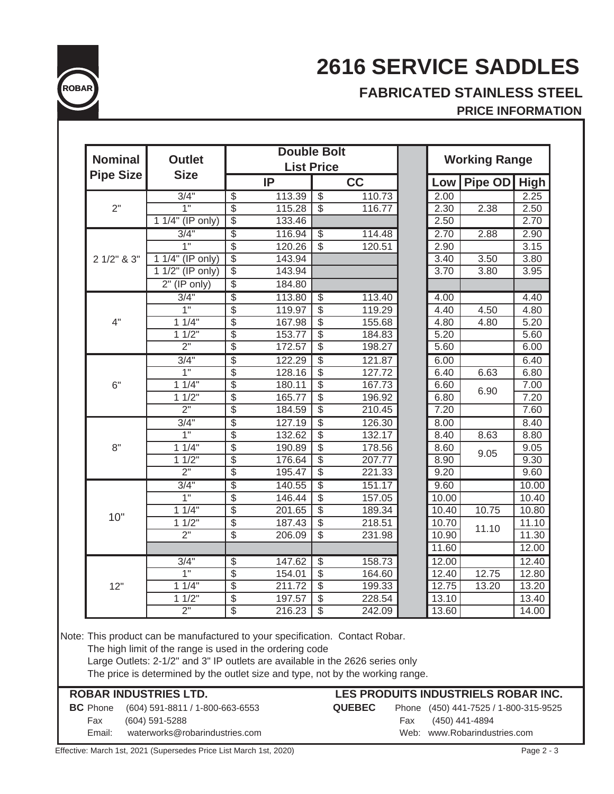

# **FABRICATED STAINLESS STEEL**

# **PRICE INFORMATION**

|                  | <b>Outlet</b>      |                          | <b>Double Bolt</b> | <b>List Price</b>         |        | <b>Working Range</b> |              |       |  |  |
|------------------|--------------------|--------------------------|--------------------|---------------------------|--------|----------------------|--------------|-------|--|--|
| <b>Pipe Size</b> | <b>Size</b>        |                          | IP                 |                           | cc     | Low                  | Pipe OD High |       |  |  |
|                  | 3/4"               | $\overline{\mathcal{E}}$ | 113.39             | $\overline{\mathbb{S}}$   | 110.73 | 2.00                 |              | 2.25  |  |  |
| 2"               | 1"                 | $\overline{\$}$          | 115.28             | $\boldsymbol{\mathsf{S}}$ | 116.77 | 2.30                 | 2.38         | 2.50  |  |  |
|                  | 1 1/4" (IP only)   | $\overline{\$}$          | 133.46             |                           |        | 2.50                 |              | 2.70  |  |  |
|                  | 3/4"               | $\overline{\$}$          | 116.94             | $\overline{\mathcal{S}}$  | 114.48 | 2.70                 | 2.88         | 2.90  |  |  |
|                  | 1"                 | $\overline{\$}$          | 120.26             | $\overline{\mathbb{S}}$   | 120.51 | 2.90                 |              | 3.15  |  |  |
| 2 1/2" & 3"      | $11/4$ " (IP only) | $\overline{\$}$          | 143.94             |                           |        | 3.40                 | 3.50         | 3.80  |  |  |
|                  | $11/2$ " (IP only) | $\overline{\$}$          | 143.94             |                           |        | 3.70                 | 3.80         | 3.95  |  |  |
|                  | $2"$ (IP only)     | \$                       | 184.80             |                           |        |                      |              |       |  |  |
|                  | 3/4"               | $\overline{\$}$          | 113.80             | \$                        | 113.40 | 4.00                 |              | 4.40  |  |  |
|                  | 1"                 | $\overline{\$}$          | 119.97             | $\overline{\mathcal{S}}$  | 119.29 | 4.40                 | 4.50         | 4.80  |  |  |
| 4"               | 11/4"              | $\overline{\$}$          | 167.98             | $\overline{\mathcal{S}}$  | 155.68 | 4.80                 | 4.80         | 5.20  |  |  |
|                  | 11/2"              | $\overline{\mathcal{S}}$ | 153.77             | $\overline{\mathcal{E}}$  | 184.83 | 5.20                 |              | 5.60  |  |  |
|                  | $\overline{2}$ "   | $\overline{\$}$          | 172.57             | $\overline{\mathcal{S}}$  | 198.27 | 5.60                 |              | 6.00  |  |  |
|                  | 3/4"               | \$                       | 122.29             | $\overline{\$}$           | 121.87 | 6.00                 |              | 6.40  |  |  |
|                  | 1"                 | $\overline{\$}$          | 128.16             | $\overline{\$}$           | 127.72 | 6.40                 | 6.63         | 6.80  |  |  |
| 6"               | 11/4"              | $\overline{\$}$          | 180.11             | $\overline{\$}$           | 167.73 | 6.60                 |              | 7.00  |  |  |
|                  | 11/2"              | $\overline{\$}$          | 165.77             | $\overline{\$}$           | 196.92 | 6.80                 | 6.90         | 7.20  |  |  |
|                  | $\overline{2}$ "   | $\overline{\$}$          | 184.59             | \$                        | 210.45 | 7.20                 |              | 7.60  |  |  |
|                  | 3/4"               | \$                       | 127.19             | \$                        | 126.30 | 8.00                 |              | 8.40  |  |  |
|                  | 1"                 | $\overline{\$}$          | 132.62             | \$                        | 132.17 | 8.40                 | 8.63         | 8.80  |  |  |
| 8"               | 11/4"              | $\overline{\$}$          | 190.89             | \$                        | 178.56 | 8.60                 |              | 9.05  |  |  |
|                  | 11/2"              | $\overline{\$}$          | 176.64             | $\overline{\mathcal{S}}$  | 207.77 | 8.90                 | 9.05         | 9.30  |  |  |
|                  | $\overline{2}$ "   | $\overline{\$}$          | 195.47             | $\overline{\$}$           | 221.33 | 9.20                 |              | 9.60  |  |  |
|                  | 3/4"               | \$                       | 140.55             | $\overline{\$}$           | 151.17 | 9.60                 |              | 10.00 |  |  |
|                  | 1"                 | $\overline{\$}$          | 146.44             | $\overline{\mathcal{E}}$  | 157.05 | 10.00                |              | 10.40 |  |  |
|                  | 11/4"              | $\overline{\$}$          | 201.65             | $\overline{\$}$           | 189.34 | 10.40                | 10.75        | 10.80 |  |  |
| 10"              | 11/2"              | $\overline{\$}$          | 187.43             | \$                        | 218.51 | 10.70                |              | 11.10 |  |  |
|                  | 2 <sup>1</sup>     | $\overline{\$}$          | 206.09             | $\overline{\$}$           | 231.98 | 10.90                | 11.10        | 11.30 |  |  |
|                  |                    |                          |                    |                           |        | 11.60                |              | 12.00 |  |  |
|                  | 3/4"               | \$                       | 147.62             | \$                        | 158.73 | 12.00                |              | 12.40 |  |  |
|                  | $\overline{1}$     | \$                       | 154.01             | \$                        | 164.60 | 12.40                | 12.75        | 12.80 |  |  |
|                  | $1\overline{1/4}$  | $\overline{\$}$          | 211.72             | $\overline{\mathbb{S}}$   | 199.33 | 12.75                | 13.20        | 13.20 |  |  |
| 12"              | 11/2"              | \$                       | 197.57             | $\overline{\mathcal{S}}$  | 228.54 | 13.10                |              | 13.40 |  |  |
|                  |                    |                          |                    |                           |        |                      |              |       |  |  |

Effective: March 1st, 2021 (Supersedes Price List March 1st, 2020) Page 2 - 3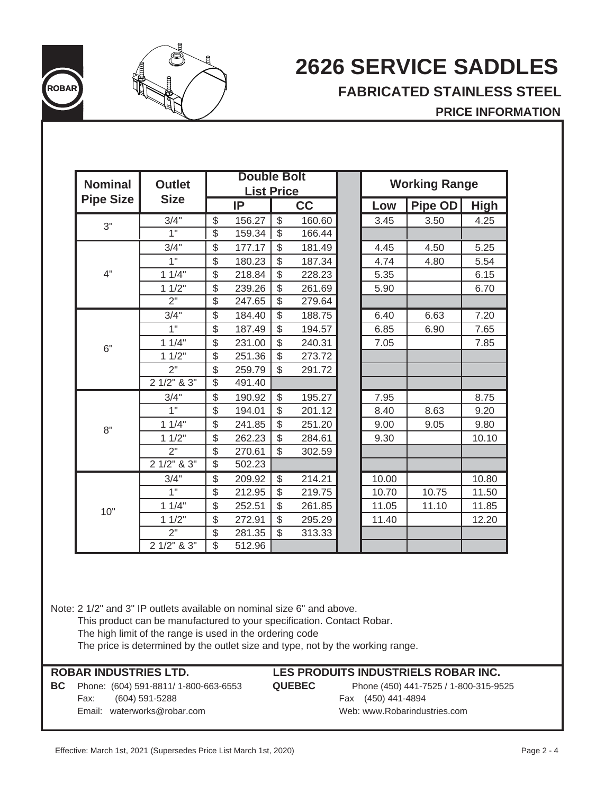

# **FABRICATED STAINLESS STEEL**

## **PRICE INFORMATION**

| <b>Nominal</b>   | <b>Outlet</b>    |                          | <b>Double Bolt</b> |                         |        |       | <b>Working Range</b> |             |
|------------------|------------------|--------------------------|--------------------|-------------------------|--------|-------|----------------------|-------------|
|                  |                  |                          | <b>List Price</b>  |                         |        |       |                      |             |
| <b>Pipe Size</b> | <b>Size</b>      |                          | IP                 |                         | cc     | Low   | Pipe OD              | <b>High</b> |
| 3"               | 3/4"             | \$                       | 156.27             | $\frac{1}{2}$           | 160.60 | 3.45  | 3.50                 | 4.25        |
|                  | 1"               | $\overline{\$}$          | 159.34             | $\overline{\$}$         | 166.44 |       |                      |             |
|                  | 3/4"             | \$                       | 177.17             | \$                      | 181.49 | 4.45  | 4.50                 | 5.25        |
|                  | 1"               | \$                       | 180.23             | \$                      | 187.34 | 4.74  | 4.80                 | 5.54        |
| 4"               | 11/4"            | \$                       | 218.84             | $\overline{\mathbb{S}}$ | 228.23 | 5.35  |                      | 6.15        |
|                  | 11/2"            | \$                       | 239.26             | \$                      | 261.69 | 5.90  |                      | 6.70        |
|                  | $\overline{2}$ " | $\overline{\$}$          | 247.65             | $\overline{\$}$         | 279.64 |       |                      |             |
|                  | 3/4"             | \$                       | 184.40             | \$                      | 188.75 | 6.40  | 6.63                 | 7.20        |
|                  | 1"               | \$                       | 187.49             | \$                      | 194.57 | 6.85  | 6.90                 | 7.65        |
| 6"               | 11/4"            | \$                       | 231.00             | \$                      | 240.31 | 7.05  |                      | 7.85        |
|                  | 11/2"            | \$                       | 251.36             | \$                      | 273.72 |       |                      |             |
|                  | 2"               | \$                       | 259.79             | \$                      | 291.72 |       |                      |             |
|                  | 2 1/2" & 3"      | $\overline{\$}$          | 491.40             |                         |        |       |                      |             |
|                  | 3/4"             | \$                       | 190.92             | \$                      | 195.27 | 7.95  |                      | 8.75        |
|                  | 1"               | \$                       | 194.01             | \$                      | 201.12 | 8.40  | 8.63                 | 9.20        |
| 8"               | 11/4"            | \$                       | 241.85             | \$                      | 251.20 | 9.00  | 9.05                 | 9.80        |
|                  | 11/2"            | \$                       | 262.23             | \$                      | 284.61 | 9.30  |                      | 10.10       |
|                  | 2"               | \$                       | 270.61             | \$                      | 302.59 |       |                      |             |
|                  | 2 1/2" & 3"      | $\overline{\$}$          | 502.23             |                         |        |       |                      |             |
|                  | 3/4"             | \$                       | 209.92             | \$                      | 214.21 | 10.00 |                      | 10.80       |
|                  | 1"               | \$                       | 212.95             | \$                      | 219.75 | 10.70 | 10.75                | 11.50       |
| 10"              | 11/4"            | \$                       | 252.51             | \$                      | 261.85 | 11.05 | 11.10                | 11.85       |
|                  | 11/2"            | \$                       | 272.91             | \$                      | 295.29 | 11.40 |                      | 12.20       |
|                  | 2"               | \$                       | 281.35             | \$                      | 313.33 |       |                      |             |
|                  | 2 1/2" & 3"      | $\overline{\mathcal{S}}$ | 512.96             |                         |        |       |                      |             |

Note: 2 1/2" and 3" IP outlets available on nominal size 6" and above.

This product can be manufactured to your specification. Contact Robar.

The high limit of the range is used in the ordering code

The price is determined by the outlet size and type, not by the working range.

### **ROBAR INDUSTRIES LTD.**

**BC** Phone: (604) 591-8811/ 1-800-663-6553 **QUEBEC** Phone (450) 441-7525 / 1-800-315-9525 Fax: (604) 591-5288 Fax (450) 441-4894 Email: waterworks@robar.com example and web: www.Robarindustries.com

### **LES PRODUITS INDUSTRIELS ROBAR INC.**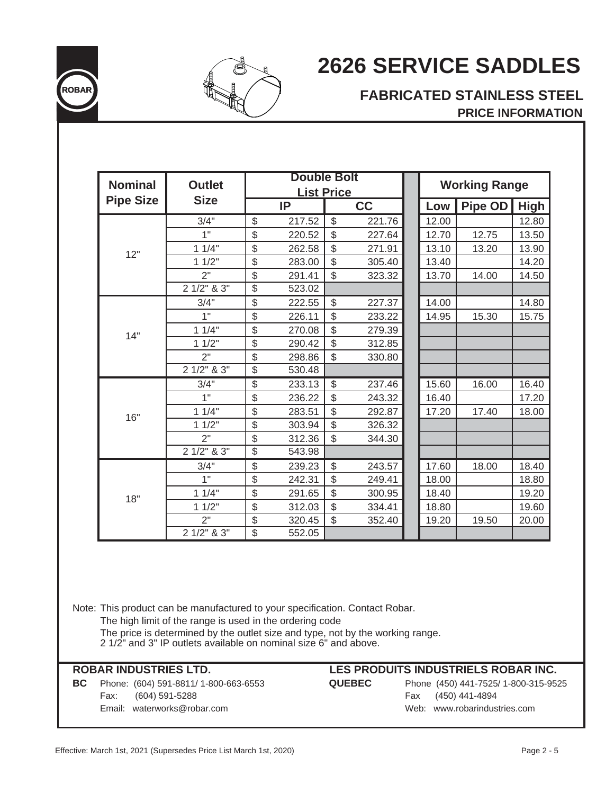



# **FABRICATED STAINLESS STEEL PRICE INFORMATION**

| <b>Nominal</b>   | <b>Outlet</b>    |               | <b>Double Bolt</b><br><b>List Price</b> |                |        |       | <b>Working Range</b> |             |
|------------------|------------------|---------------|-----------------------------------------|----------------|--------|-------|----------------------|-------------|
| <b>Pipe Size</b> | <b>Size</b>      |               | IP                                      |                | cc     | Low   | <b>Pipe OD</b>       | <b>High</b> |
|                  | 3/4"             | \$            | 217.52                                  | \$             | 221.76 | 12.00 |                      | 12.80       |
|                  | 1"               | \$            | 220.52                                  | \$             | 227.64 | 12.70 | 12.75                | 13.50       |
| 12"              | 11/4"            | \$            | 262.58                                  | \$             | 271.91 | 13.10 | 13.20                | 13.90       |
|                  | 11/2"            | \$            | 283.00                                  | \$             | 305.40 | 13.40 |                      | 14.20       |
|                  | 2"               | \$            | 291.41                                  | \$             | 323.32 | 13.70 | 14.00                | 14.50       |
|                  | $21/2$ " & $3$ " | \$            | 523.02                                  |                |        |       |                      |             |
|                  | 3/4"             | \$            | 222.55                                  | \$             | 227.37 | 14.00 |                      | 14.80       |
|                  | 1"               | \$            | 226.11                                  | \$             | 233.22 | 14.95 | 15.30                | 15.75       |
| 14"              | 11/4"            | \$            | 270.08                                  | \$             | 279.39 |       |                      |             |
|                  | 11/2"            | \$            | 290.42                                  | \$             | 312.85 |       |                      |             |
|                  | 2"               | $\frac{1}{2}$ | 298.86                                  | \$             | 330.80 |       |                      |             |
|                  | $21/2$ " & $3$ " | \$            | 530.48                                  |                |        |       |                      |             |
|                  | 3/4"             | \$            | 233.13                                  | $\mathfrak{S}$ | 237.46 | 15.60 | 16.00                | 16.40       |
|                  | 1"               | \$            | 236.22                                  | \$             | 243.32 | 16.40 |                      | 17.20       |
| 16"              | 11/4"            | \$            | 283.51                                  | \$             | 292.87 | 17.20 | 17.40                | 18.00       |
|                  | 11/2"            | \$            | 303.94                                  | $\mathfrak{S}$ | 326.32 |       |                      |             |
|                  | 2"               | \$            | 312.36                                  | \$             | 344.30 |       |                      |             |
|                  | $21/2$ " & $3$ " | \$            | 543.98                                  |                |        |       |                      |             |
|                  | 3/4"             | \$            | 239.23                                  | $\mathfrak{S}$ | 243.57 | 17.60 | 18.00                | 18.40       |
|                  | 1"               | \$            | 242.31                                  | \$             | 249.41 | 18.00 |                      | 18.80       |
| 18"              | 11/4"            | \$            | 291.65                                  | \$             | 300.95 | 18.40 |                      | 19.20       |
|                  | 11/2"            | \$            | 312.03                                  | \$             | 334.41 | 18.80 |                      | 19.60       |
|                  | 2"               | \$            | 320.45                                  | $\mathfrak{S}$ | 352.40 | 19.20 | 19.50                | 20.00       |
|                  | 2 1/2" & 3"      | \$            | 552.05                                  |                |        |       |                      |             |

Note: This product can be manufactured to your specification. Contact Robar. The high limit of the range is used in the ordering code The price is determined by the outlet size and type, not by the working range. 2 1/2" and 3" IP outlets available on nominal size 6" and above.

**BC** Phone: (604) 591-8811/ 1-800-663-6553 **QUEBEC** Phone (450) 441-7525/ 1-800-315-9525 Fax: (604) 591-5288 Fax (450) 441-4894 Email: waterworks@robar.com Web: www.robarindustries.com

#### **ROBAR INDUSTRIES LTD. LES PRODUITS INDUSTRIELS ROBAR INC.**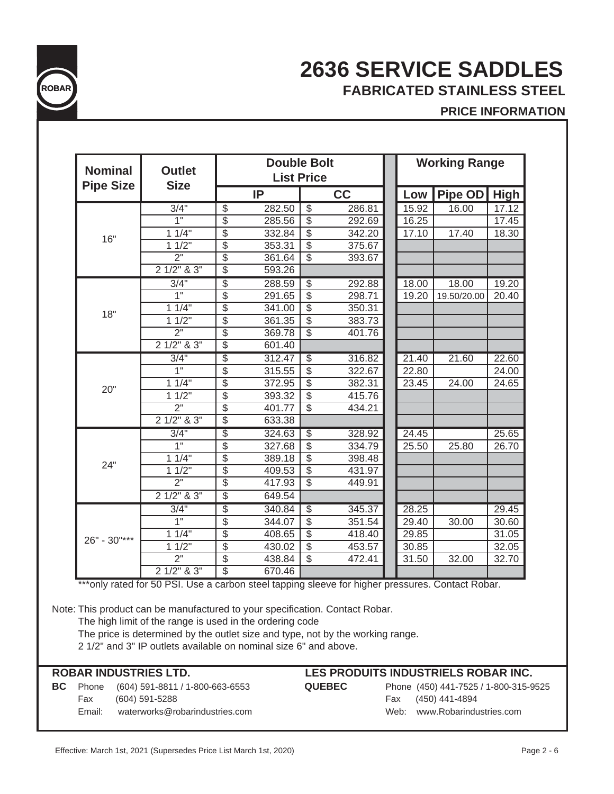

# **2636 SERVICE SADDLES ROBAR FABRICATED STAINLESS STEEL**

# **PRICE INFORMATION**

| <b>Nominal</b>                                                                                   | <b>Outlet</b>      |                                    |                   | <b>Double Bolt</b>       |        | <b>Working Range</b> |       |              |       |  |
|--------------------------------------------------------------------------------------------------|--------------------|------------------------------------|-------------------|--------------------------|--------|----------------------|-------|--------------|-------|--|
| <b>Pipe Size</b>                                                                                 | <b>Size</b>        |                                    | <b>List Price</b> |                          |        |                      |       |              |       |  |
|                                                                                                  |                    | IP                                 |                   |                          | cc     |                      | Low   | Pipe OD High |       |  |
|                                                                                                  | 3/4"               | $\overline{\mathcal{E}}$<br>282.50 |                   | $\overline{\$}$          | 286.81 |                      | 15.92 | 16.00        | 17.12 |  |
|                                                                                                  | $\overline{1}$     | $\overline{\$}$<br>285.56          |                   | $\overline{\$}$          | 292.69 |                      | 16.25 |              | 17.45 |  |
| 16"                                                                                              | 11/4"              | $\overline{\$}$<br>332.84          |                   | $\overline{\$}$          | 342.20 |                      | 17.10 | 17.40        | 18.30 |  |
|                                                                                                  | 11/2"              | $\overline{\$}$<br>353.31          |                   | $\overline{\$}$          | 375.67 |                      |       |              |       |  |
|                                                                                                  | $2^{\circ}$        | $\overline{\$}$<br>361.64          |                   | $\overline{\mathbb{S}}$  | 393.67 |                      |       |              |       |  |
|                                                                                                  | $21/2$ " & $3$ "   | $\overline{\$}$<br>593.26          |                   |                          |        |                      |       |              |       |  |
|                                                                                                  | 3/4"               | $\overline{\$}$<br>288.59          |                   | \$                       | 292.88 |                      | 18.00 | 18.00        | 19.20 |  |
|                                                                                                  | $\overline{1}$ "   | $\overline{\$}$<br>291.65          |                   | $\overline{\$}$          | 298.71 |                      | 19.20 | 19.50/20.00  | 20.40 |  |
| 18"                                                                                              | 11/4               | $\overline{\$}$<br>341.00          |                   | $\overline{\$}$          | 350.31 |                      |       |              |       |  |
|                                                                                                  | $1 \frac{1}{2}$    | $\overline{\$}$<br>361.35          |                   | $\overline{\$}$          | 383.73 |                      |       |              |       |  |
|                                                                                                  | 2"                 | $\overline{\$}$<br>369.78          |                   | $\overline{\mathcal{S}}$ | 401.76 |                      |       |              |       |  |
|                                                                                                  | $21/2$ " & $3$ "   | $\overline{\$}$<br>601.40          |                   |                          |        |                      |       |              |       |  |
| 20"                                                                                              | 3/4"               | \$<br>312.47                       |                   | $\overline{\$}$          | 316.82 |                      | 21.40 | 21.60        | 22.60 |  |
|                                                                                                  | 1"                 | $\overline{\mathcal{S}}$<br>315.55 |                   | $\overline{\mathcal{E}}$ | 322.67 |                      | 22.80 |              | 24.00 |  |
|                                                                                                  | 11/4"              | $\overline{\$}$<br>372.95          |                   | $\overline{\mathcal{E}}$ | 382.31 |                      | 23.45 | 24.00        | 24.65 |  |
|                                                                                                  | 11/2"              | $\overline{\$}$<br>393.32          |                   | $\overline{\$}$          | 415.76 |                      |       |              |       |  |
|                                                                                                  | 2"                 | $\overline{\$}$<br>401.77          |                   | $\overline{\mathbb{S}}$  | 434.21 |                      |       |              |       |  |
|                                                                                                  | $21/2$ " & $3$ "   | $\overline{\$}$<br>633.38          |                   |                          |        |                      |       |              |       |  |
|                                                                                                  | 3/4"               | $\overline{\$}$<br>324.63          |                   | $\overline{\$}$          | 328.92 |                      | 24.45 |              | 25.65 |  |
|                                                                                                  | 1"                 | $\overline{\mathcal{S}}$<br>327.68 |                   | $\overline{\$}$          | 334.79 |                      | 25.50 | 25.80        | 26.70 |  |
|                                                                                                  | $1 \overline{1/4}$ | $\overline{\$}$<br>389.18          |                   | $\overline{\$}$          | 398.48 |                      |       |              |       |  |
| 24"                                                                                              | 11/2"              | $\overline{\$}$<br>409.53          |                   | $\overline{\$}$          | 431.97 |                      |       |              |       |  |
|                                                                                                  | $\overline{2}$ "   | $\overline{\mathbb{S}}$<br>417.93  |                   | $\overline{\mathbb{S}}$  | 449.91 |                      |       |              |       |  |
|                                                                                                  | $21/2$ " & $3$ "   | $\overline{\$}$<br>649.54          |                   |                          |        |                      |       |              |       |  |
|                                                                                                  | 3/4"               | $\overline{\$}$<br>340.84          |                   | $\overline{\$}$          | 345.37 |                      | 28.25 |              | 29.45 |  |
|                                                                                                  | $\overline{1}$     | $\overline{\$}$<br>344.07          |                   | $\overline{\$}$          | 351.54 |                      | 29.40 | 30.00        | 30.60 |  |
|                                                                                                  | 11/4"              | $\overline{\$}$<br>408.65          |                   | $\overline{\$}$          | 418.40 |                      | 29.85 |              | 31.05 |  |
| $26" - 30"$ ***                                                                                  | 11/2"              | $\overline{\$}$<br>430.02          |                   | $\overline{\$}$          | 453.57 |                      | 30.85 |              | 32.05 |  |
|                                                                                                  | $\overline{2}$ "   | $\overline{\$}$<br>438.84          |                   | $\overline{\$}$          | 472.41 |                      | 31.50 | 32.00        | 32.70 |  |
|                                                                                                  | $21/2$ " & $3$ "   | $\overline{\mathbb{S}}$<br>670.46  |                   |                          |        |                      |       |              |       |  |
| ***only rated for 50 PSI. Use a carbon steel tapping sleeve for higher pressures. Contact Robar. |                    |                                    |                   |                          |        |                      |       |              |       |  |

Note: This product can be manufactured to your specification. Contact Robar.

The high limit of the range is used in the ordering code

The price is determined by the outlet size and type, not by the working range.

2 1/2" and 3" IP outlets available on nominal size 6" and above.

| <b>ROBAR INDUSTRIES LTD.</b> |        |                                       | LES PRODUITS INDUSTRIELS ROBAR INC. |                                       |  |  |  |  |  |
|------------------------------|--------|---------------------------------------|-------------------------------------|---------------------------------------|--|--|--|--|--|
| BC.                          |        | Phone (604) 591-8811 / 1-800-663-6553 | <b>QUEBEC</b>                       | Phone (450) 441-7525 / 1-800-315-9525 |  |  |  |  |  |
|                              | Fax    | (604) 591-5288                        |                                     | (450) 441-4894<br>Fax                 |  |  |  |  |  |
|                              | Email: | waterworks@robarindustries.com        |                                     | Web: www.Robarindustries.com          |  |  |  |  |  |
|                              |        |                                       |                                     |                                       |  |  |  |  |  |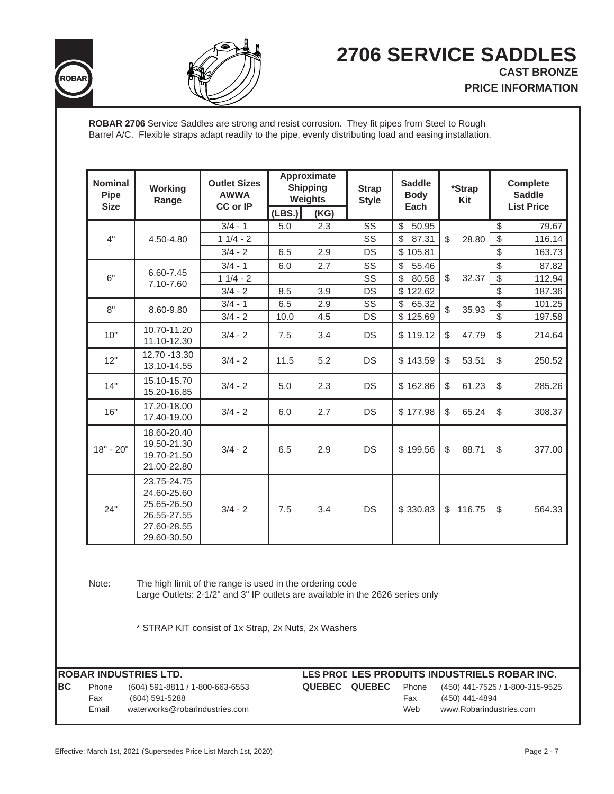



**ROBAR 2706** Service Saddles are strong and resist corrosion. They fit pipes from Steel to Rough Barrel A/C. Flexible straps adapt readily to the pipe, evenly distributing load and easing installation.

| <b>Nominal</b><br>Pipe | Working<br>Range                                                                                                                                                                                  | <b>Outlet Sizes</b><br><b>AWWA</b> | Approximate<br><b>Shipping</b><br>Weights |      | <b>Strap</b><br><b>Style</b> | <b>Saddle</b><br><b>Body</b>      | *Strap<br>Kit        |                          | <b>Complete</b><br><b>Saddle</b> |
|------------------------|---------------------------------------------------------------------------------------------------------------------------------------------------------------------------------------------------|------------------------------------|-------------------------------------------|------|------------------------------|-----------------------------------|----------------------|--------------------------|----------------------------------|
| <b>Size</b>            |                                                                                                                                                                                                   | <b>CC or IP</b>                    | (LBS.)                                    | (KG) |                              | Each                              |                      |                          | <b>List Price</b>                |
|                        |                                                                                                                                                                                                   | $3/4 - 1$                          | 5.0                                       | 2.3  | SS                           | $\$\$<br>50.95                    |                      | $\sqrt[6]{\frac{1}{2}}$  | 79.67                            |
| 4"                     | 4.50-4.80                                                                                                                                                                                         | $11/4 - 2$                         |                                           |      | $\overline{\text{SS}}$       | $\overline{\mathcal{S}}$<br>87.31 | \$<br>28.80          | $\overline{\$}$          | 116.14                           |
|                        |                                                                                                                                                                                                   | $3/4 - 2$                          | 6.5                                       | 2.9  | DS                           | \$105.81                          |                      | \$                       | 163.73                           |
|                        | 6.60-7.45                                                                                                                                                                                         | $3/4 - 1$                          | 6.0                                       | 2.7  | SS                           | \$<br>55.46                       |                      | $\overline{\mathcal{E}}$ | 87.82                            |
| 6"                     | 7.10-7.60                                                                                                                                                                                         | $11/4 - 2$                         |                                           |      | SS                           | $\sqrt[6]{\frac{1}{2}}$<br>80.58  | \$<br>32.37          | $\overline{\$}$          | 112.94                           |
|                        |                                                                                                                                                                                                   | $3/4 - 2$                          | 8.5                                       | 3.9  | DS                           | \$122.62                          |                      | $\overline{\$}$          | 187.36                           |
| 8"                     | 8.60-9.80                                                                                                                                                                                         | $3/4 - 1$                          | 6.5                                       | 2.9  | SS                           | $\overline{\mathcal{S}}$<br>65.32 | $\mathbb S$<br>35.93 | $\overline{\$}$          | 101.25                           |
|                        |                                                                                                                                                                                                   | $3/4 - 2$                          | 10.0                                      | 4.5  | DS                           | \$125.69                          |                      | $\overline{\$}$          | 197.58                           |
| 10"                    | 10.70-11.20<br>11.10-12.30                                                                                                                                                                        | $3/4 - 2$                          | 7.5                                       | 3.4  | DS                           | \$119.12                          | \$<br>47.79          | \$                       | 214.64                           |
| 12"                    | 12.70 - 13.30<br>13.10-14.55                                                                                                                                                                      | $3/4 - 2$                          | 11.5                                      | 5.2  | <b>DS</b>                    | \$143.59                          | \$<br>53.51          | $\$\$                    | 250.52                           |
| 14"                    | 15.10-15.70<br>15.20-16.85                                                                                                                                                                        | $3/4 - 2$                          | 5.0                                       | 2.3  | DS                           | \$162.86                          | \$<br>61.23          | \$                       | 285.26                           |
| 16"                    | 17.20-18.00<br>17.40-19.00                                                                                                                                                                        | $3/4 - 2$                          | 6.0                                       | 2.7  | DS                           | \$177.98                          | \$<br>65.24          | \$                       | 308.37                           |
| $18" - 20"$            | 18.60-20.40<br>19.50-21.30<br>19.70-21.50<br>21.00-22.80                                                                                                                                          | $3/4 - 2$                          | 6.5                                       | 2.9  | <b>DS</b>                    | \$199.56                          | 88.71<br>\$          | \$                       | 377.00                           |
| 24"                    | 23.75-24.75<br>24.60-25.60<br>25.65-26.50<br>26.55-27.55<br>27.60-28.55<br>29.60-30.50                                                                                                            | $3/4 - 2$                          | 7.5                                       | 3.4  | DS                           | \$330.83                          | \$116.75             | $$\mathbb{S}$$           | 564.33                           |
| Note:                  | The high limit of the range is used in the ordering code<br>Large Outlets: 2-1/2" and 3" IP outlets are available in the 2626 series only<br>* STRAP KIT consist of 1x Strap, 2x Nuts, 2x Washers |                                    |                                           |      |                              |                                   |                      |                          |                                  |

**ROBAR INDUSTRIES LTD. LES PROD LES PRODUITS INDUSTRIELS ROBAR INC. BC** Phone (604) 591-8811 / 1-800-663-6553 **QUEBEC QUEBEC** Phone (450) 441-7525 / 1-800-315-9525 Fax (604) 591-5288 Fax (450) 441-4894 Email waterworks@robarindustries.com Web www.Robarindustries.com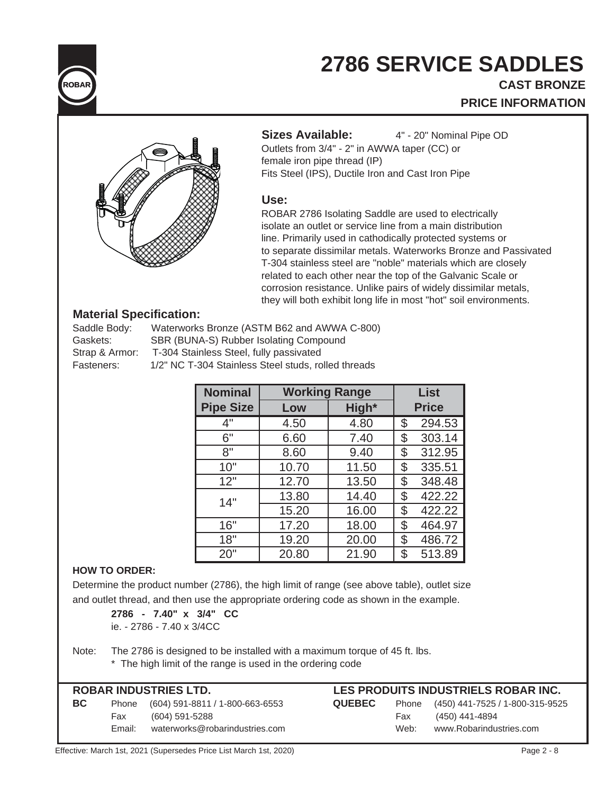

# **CAST BRONZE PRICE INFORMATION**



Sizes Available: 4" - 20" Nominal Pipe OD

Outlets from 3/4" - 2" in AWWA taper (CC) or

female iron pipe thread (IP) Fits Steel (IPS), Ductile Iron and Cast Iron Pipe

#### **Use:**

ROBAR 2786 Isolating Saddle are used to electrically isolate an outlet or service line from a main distribution line. Primarily used in cathodically protected systems or to separate dissimilar metals. Waterworks Bronze and Passivated T-304 stainless steel are "noble" materials which are closely related to each other near the top of the Galvanic Scale or corrosion resistance. Unlike pairs of widely dissimilar metals, they will both exhibit long life in most "hot" soil environments.

### **Material Specification:**

| Saddle Body:   | Waterworks Bronze (ASTM B62 and AWWA C-800)         |
|----------------|-----------------------------------------------------|
| Gaskets:       | SBR (BUNA-S) Rubber Isolating Compound              |
| Strap & Armor: | T-304 Stainless Steel, fully passivated             |
| Fasteners:     | 1/2" NC T-304 Stainless Steel studs, rolled threads |

| <b>Nominal</b>   | <b>Working Range</b> |       |              | <b>List</b> |
|------------------|----------------------|-------|--------------|-------------|
| <b>Pipe Size</b> | Low                  | High* | <b>Price</b> |             |
| 4"               | 4.50                 | 4.80  | \$           | 294.53      |
| 6"               | 6.60                 | 7.40  | \$           | 303.14      |
| 8"               | 8.60                 | 9.40  | \$           | 312.95      |
| 10"              | 10.70                | 11.50 | \$           | 335.51      |
| 12"              | 12.70                | 13.50 | \$           | 348.48      |
| 14"              | 13.80                | 14.40 | \$           | 422.22      |
|                  | 15.20                | 16.00 | \$           | 422.22      |
| 16"              | 17.20                | 18.00 | \$           | 464.97      |
| 18"              | 19.20                | 20.00 | \$           | 486.72      |
| 20"              | 20.80                | 21.90 | \$           | 513.89      |

### **HOW TO ORDER:**

Determine the product number (2786), the high limit of range (see above table), outlet size and outlet thread, and then use the appropriate ordering code as shown in the example.

**2786 - 7.40" x 3/4" CC** ie. - 2786 - 7.40 x 3/4CC

Note: The 2786 is designed to be installed with a maximum torque of 45 ft. lbs. \* The high limit of the range is used in the ordering code

## **ROBAR INDUSTRIES LTD. LES PRODUITS INDUSTRIELS ROBAR INC.**

| <b>NUDAN INDUSTNIES LTD.</b> |        |                                       |               | LES FRUDUITS INDUSTRIELS RUDAR ING. |                                       |  |  |
|------------------------------|--------|---------------------------------------|---------------|-------------------------------------|---------------------------------------|--|--|
| BC.                          |        | Phone (604) 591-8811 / 1-800-663-6553 | <b>QUEBEC</b> |                                     | Phone (450) 441-7525 / 1-800-315-9525 |  |  |
|                              | Fax    | (604) 591-5288                        |               | Fax                                 | (450) 441-4894                        |  |  |
|                              | Email: | waterworks@robarindustries.com        |               | Web:                                | www.Robarindustries.com               |  |  |
|                              |        |                                       |               |                                     |                                       |  |  |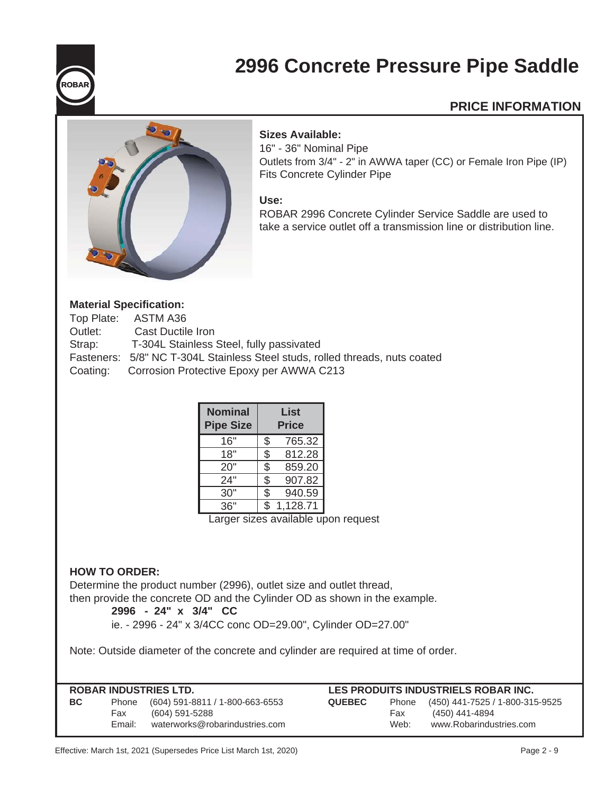

# **2996 Concrete Pressure Pipe Saddle**

# **PRICE INFORMATION**



### **Sizes Available:**

16" - 36" Nominal Pipe Outlets from 3/4" - 2" in AWWA taper (CC) or Female Iron Pipe (IP) Fits Concrete Cylinder Pipe

#### **Use:**

ROBAR 2996 Concrete Cylinder Service Saddle are used to take a service outlet off a transmission line or distribution line.

#### **Material Specification:**

|         | Top Plate: ASTM A36                                                          |
|---------|------------------------------------------------------------------------------|
| Outlet: | Cast Ductile Iron                                                            |
| Strap:  | T-304L Stainless Steel, fully passivated                                     |
|         | Fasteners: 5/8" NC T-304L Stainless Steel studs, rolled threads, nuts coated |
|         | Coating: Corrosion Protective Epoxy per AWWA C213                            |

| <b>Nominal</b><br><b>Pipe Size</b> | List<br><b>Price</b> |          |  |
|------------------------------------|----------------------|----------|--|
| 16"                                | \$                   | 765.32   |  |
| 18"                                | \$                   | 812.28   |  |
| 20"                                | \$                   | 859.20   |  |
| 24"                                | \$                   | 907.82   |  |
| 30"                                | \$                   | 940.59   |  |
| 36"                                | ፍ                    | 1,128.71 |  |
|                                    |                      |          |  |

Larger sizes available upon request

#### **HOW TO ORDER:**

Determine the product number (2996), outlet size and outlet thread, then provide the concrete OD and the Cylinder OD as shown in the example.

#### **2996 - 24" x 3/4" CC**

ie. - 2996 - 24" x 3/4CC conc OD=29.00", Cylinder OD=27.00"

Note: Outside diameter of the concrete and cylinder are required at time of order.

| ROBAR INDUSTRIES LTD. |        |                                 | LES PRODUITS INDUSTRIELS ROBAR INC.                       |      |                         |  |
|-----------------------|--------|---------------------------------|-----------------------------------------------------------|------|-------------------------|--|
| <b>BC</b>             | Phone  | (604) 591-8811 / 1-800-663-6553 | (450) 441-7525 / 1-800-315-9525<br><b>QUEBEC</b><br>Phone |      |                         |  |
|                       | Fax    | (604) 591-5288                  |                                                           | Fax  | (450) 441-4894          |  |
|                       | Email: | waterworks@robarindustries.com  |                                                           | Web: | www.Robarindustries.com |  |
|                       |        |                                 |                                                           |      |                         |  |